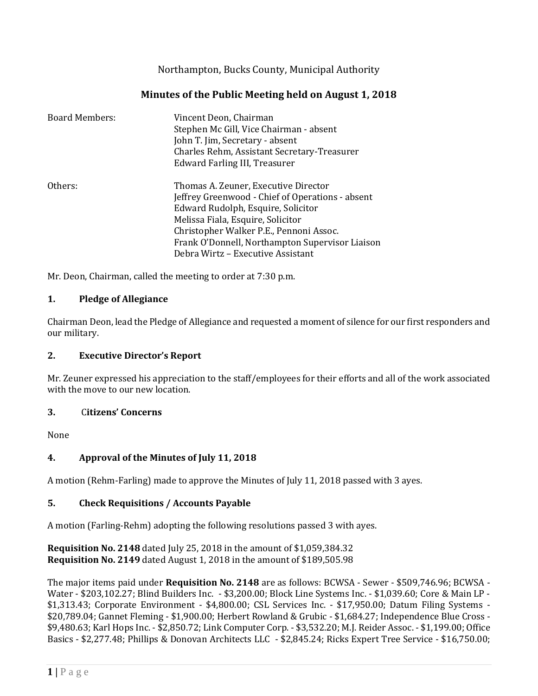Northampton, Bucks County, Municipal Authority

# **Minutes of the Public Meeting held on August 1, 2018**

| <b>Board Members:</b> | Vincent Deon, Chairman<br>Stephen Mc Gill, Vice Chairman - absent<br>John T. Jim, Secretary - absent<br>Charles Rehm, Assistant Secretary-Treasurer<br>Edward Farling III, Treasurer                                                                                                                   |
|-----------------------|--------------------------------------------------------------------------------------------------------------------------------------------------------------------------------------------------------------------------------------------------------------------------------------------------------|
| Others:               | Thomas A. Zeuner, Executive Director<br>Jeffrey Greenwood - Chief of Operations - absent<br>Edward Rudolph, Esquire, Solicitor<br>Melissa Fiala, Esquire, Solicitor<br>Christopher Walker P.E., Pennoni Assoc.<br>Frank O'Donnell, Northampton Supervisor Liaison<br>Debra Wirtz - Executive Assistant |

Mr. Deon, Chairman, called the meeting to order at 7:30 p.m.

## **1. Pledge of Allegiance**

Chairman Deon, lead the Pledge of Allegiance and requested a moment of silence for our first responders and our military.

## **2. Executive Director's Report**

Mr. Zeuner expressed his appreciation to the staff/employees for their efforts and all of the work associated with the move to our new location.

## **3.** C**itizens' Concerns**

None

## **4. Approval of the Minutes of July 11, 2018**

A motion (Rehm-Farling) made to approve the Minutes of July 11, 2018 passed with 3 ayes.

## **5. Check Requisitions / Accounts Payable**

A motion (Farling-Rehm) adopting the following resolutions passed 3 with ayes.

**Requisition No. 2148** dated July 25, 2018 in the amount of \$1,059,384.32 **Requisition No. 2149** dated August 1, 2018 in the amount of \$189,505.98

The major items paid under **Requisition No. 2148** are as follows: BCWSA - Sewer - \$509,746.96; BCWSA - Water - \$203,102.27; Blind Builders Inc. - \$3,200.00; Block Line Systems Inc. - \$1,039.60; Core & Main LP - \$1,313.43; Corporate Environment - \$4,800.00; CSL Services Inc. - \$17,950.00; Datum Filing Systems - \$20,789.04; Gannet Fleming - \$1,900.00; Herbert Rowland & Grubic - \$1,684.27; Independence Blue Cross - \$9,480.63; Karl Hops Inc. - \$2,850.72; Link Computer Corp. - \$3,532.20; M.J. Reider Assoc. - \$1,199.00; Office Basics - \$2,277.48; Phillips & Donovan Architects LLC - \$2,845.24; Ricks Expert Tree Service - \$16,750.00;